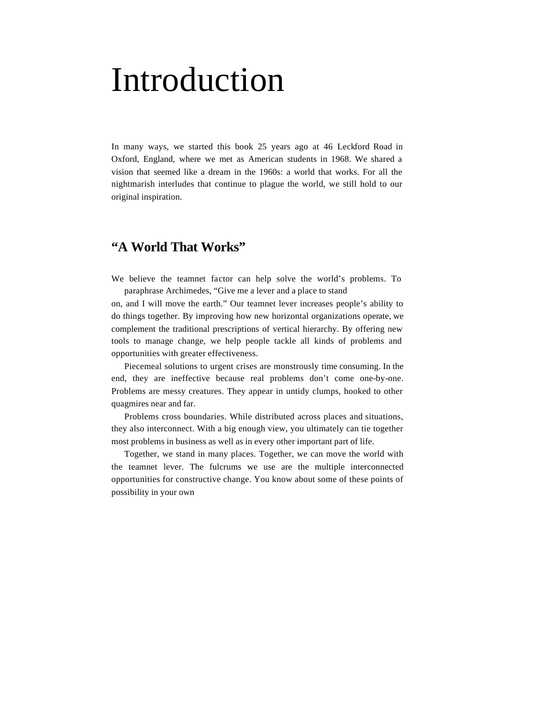## Introduction

In many ways, we started this book 25 years ago at 46 Leckford Road in Oxford, England, where we met as American students in 1968. We shared a vision that seemed like a dream in the 1960s: a world that works. For all the nightmarish interludes that continue to plague the world, we still hold to our original inspiration.

## **"A World That Works"**

We believe the teamnet factor can help solve the world's problems. To paraphrase Archimedes, "Give me a lever and a place to stand

on, and I will move the earth." Our teamnet lever increases people's ability to do things together. By improving how new horizontal organizations operate, we complement the traditional prescriptions of vertical hierarchy. By offering new tools to manage change, we help people tackle all kinds of problems and opportunities with greater effectiveness.

Piecemeal solutions to urgent crises are monstrously time consuming. In the end, they are ineffective because real problems don't come one-by-one. Problems are messy creatures. They appear in untidy clumps, hooked to other quagmires near and far.

Problems cross boundaries. While distributed across places and situations, they also interconnect. With a big enough view, you ultimately can tie together most problems in business as well as in every other important part of life.

Together, we stand in many places. Together, we can move the world with the teamnet lever. The fulcrums we use are the multiple interconnected opportunities for constructive change. You know about some of these points of possibility in your own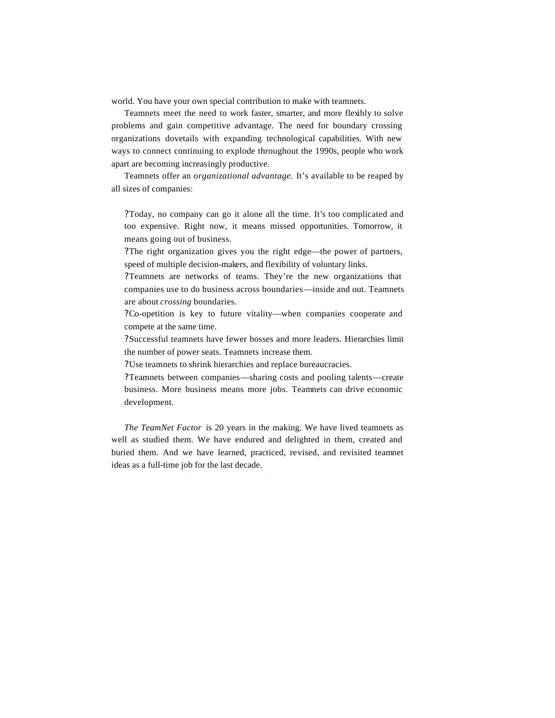world. You have your own special contribution to make with teamnets.

Teamnets meet the need to work faster, smarter, and more flexibly to solve problems and gain competitive advantage. The need for boundary crossing organizations dovetails with expanding technological capabilities. With new ways to connect continuing to explode throughout the 1990s, people who work apart are becoming increasingly productive.

Teamnets offer an *organizational advantage.* It's available to be reaped by all sizes of companies:

?Today, no company can go it alone all the time. It's too complicated and too expensive. Right now, it means missed opportunities. Tomorrow, it means going out of business.

?The right organization gives you the right edge—the power of partners, speed of multiple decision-makers, and flexibility of voluntary links.

?Teamnets are networks of teams. They're the new organizations that companies use to do business across boundaries—inside and out. Teamnets are about *crossing* boundaries.

?Co-opetition is key to future vitality—when companies cooperate and compete at the same time.

?Successful teamnets have fewer bosses and more leaders. Hierarchies limit the number of power seats. Teamnets increase them.

?Use teamnets to shrink hierarchies and replace bureaucracies.

?Teamnets between companies—sharing costs and pooling talents—create business. More business means more jobs. Teamnets can drive economic development.

*The TeamNet Factor* is 20 years in the making. We have lived teamnets as well as studied them. We have endured and delighted in them, created and buried them. And we have learned, practiced, revised, and revisited teamnet ideas as a full-time job for the last decade.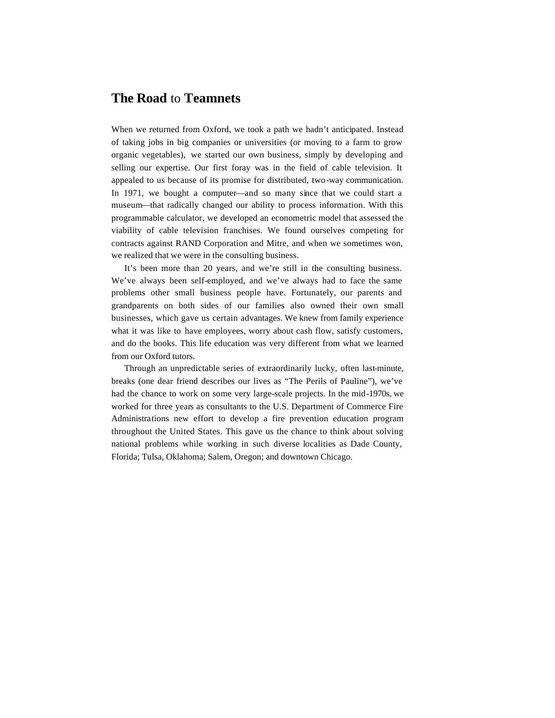## **The Road** to **Teamnets**

When we returned from Oxford, we took a path we hadn't anticipated. Instead of taking jobs in big companies or universities (or moving to a farm to grow organic vegetables), we started our own business, simply by developing and selling our expertise. Our first foray was in the field of cable television. It appealed to us because of its promise for distributed, two-way communication. In 1971, we bought a computer—and so many since that we could start a museum—that radically changed our ability to process information. With this programmable calculator, we developed an econometric model that assessed the viability of cable television franchises. We found ourselves competing for contracts against RAND Corporation and Mitre, and when we sometimes won, we realized that we were in the consulting business.

It's been more than 20 years, and we're still in the consulting business. We've always been self-employed, and we've always had to face the same problems other small business people have. Fortunately, our parents and grandparents on both sides of our families also owned their own small businesses, which gave us certain advantages. We knew from family experience what it was like to have employees, worry about cash flow, satisfy customers, and do the books. This life education was very different from what we learned from our Oxford tutors.

Through an unpredictable series of extraordinarily lucky, often last-minute, breaks (one dear friend describes our lives as "The Perils of Pauline"), we've had the chance to work on some very large-scale projects. In the mid-1970s, we worked for three years as consultants to the U.S. Department of Commerce Fire Administrations new effort to develop a fire prevention education program throughout the United States. This gave us the chance to think about solving national problems while working in such diverse localities as Dade County, Florida; Tulsa, Oklahoma; Salem, Oregon; and downtown Chicago.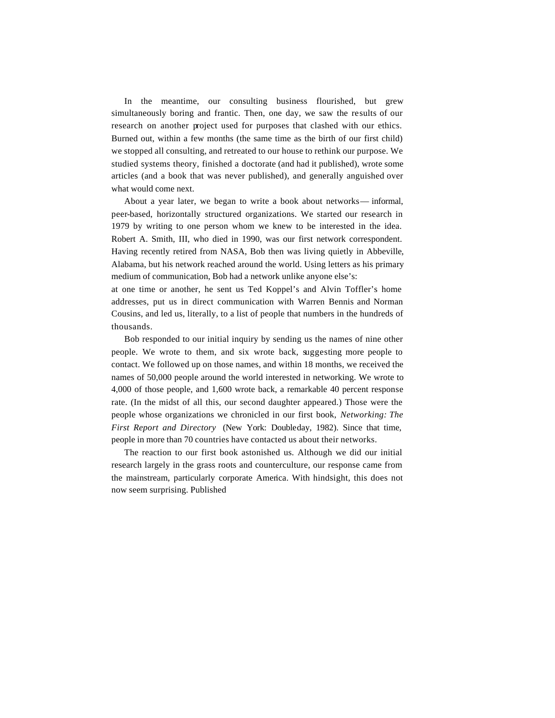In the meantime, our consulting business flourished, but grew simultaneously boring and frantic. Then, one day, we saw the results of our research on another project used for purposes that clashed with our ethics. Burned out, within a few months (the same time as the birth of our first child) we stopped all consulting, and retreated to our house to rethink our purpose. We studied systems theory, finished a doctorate (and had it published), wrote some articles (and a book that was never published), and generally anguished over what would come next.

About a year later, we began to write a book about networks— informal, peer-based, horizontally structured organizations. We started our research in 1979 by writing to one person whom we knew to be interested in the idea. Robert A. Smith, III, who died in 1990, was our first network correspondent. Having recently retired from NASA, Bob then was living quietly in Abbeville, Alabama, but his network reached around the world. Using letters as his primary medium of communication, Bob had a network unlike anyone else's:

at one time or another, he sent us Ted Koppel's and Alvin Toffler's home addresses, put us in direct communication with Warren Bennis and Norman Cousins, and led us, literally, to a list of people that numbers in the hundreds of thousands.

Bob responded to our initial inquiry by sending us the names of nine other people. We wrote to them, and six wrote back, suggesting more people to contact. We followed up on those names, and within 18 months, we received the names of 50,000 people around the world interested in networking. We wrote to 4,000 of those people, and 1,600 wrote back, a remarkable 40 percent response rate. (In the midst of all this, our second daughter appeared.) Those were the people whose organizations we chronicled in our first book, *Networking: The First Report and Directory* (New York: Doubleday, 1982). Since that time, people in more than 70 countries have contacted us about their networks.

The reaction to our first book astonished us. Although we did our initial research largely in the grass roots and counterculture, our response came from the mainstream, particularly corporate America. With hindsight, this does not now seem surprising. Published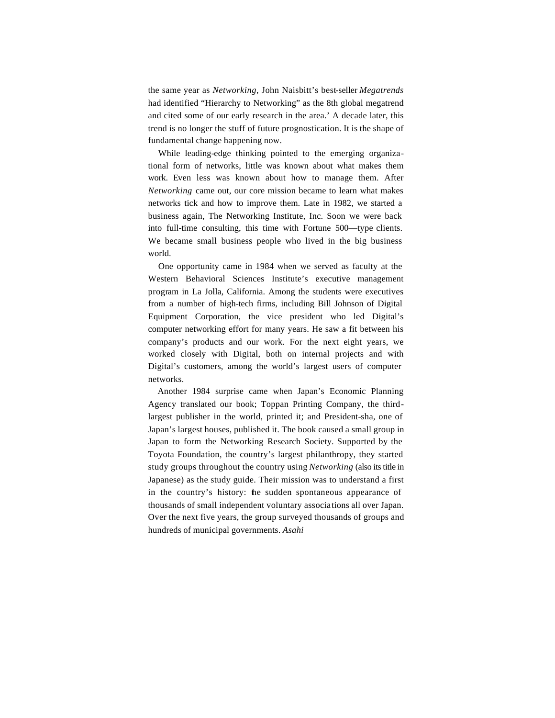the same year as *Networking,* John Naisbitt's best-seller *Megatrends*  had identified "Hierarchy to Networking" as the 8th global megatrend and cited some of our early research in the area.' A decade later, this trend is no longer the stuff of future prognostication. It is the shape of fundamental change happening now.

While leading-edge thinking pointed to the emerging organizational form of networks, little was known about what makes them work. Even less was known about how to manage them. After *Networking* came out, our core mission became to learn what makes networks tick and how to improve them. Late in 1982, we started a business again, The Networking Institute, Inc. Soon we were back into full-time consulting, this time with Fortune 500—type clients. We became small business people who lived in the big business world.

One opportunity came in 1984 when we served as faculty at the Western Behavioral Sciences Institute's executive management program in La Jolla, California. Among the students were executives from a number of high-tech firms, including Bill Johnson of Digital Equipment Corporation, the vice president who led Digital's computer networking effort for many years. He saw a fit between his company's products and our work. For the next eight years, we worked closely with Digital, both on internal projects and with Digital's customers, among the world's largest users of computer networks.

Another 1984 surprise came when Japan's Economic Planning Agency translated our book; Toppan Printing Company, the thirdlargest publisher in the world, printed it; and President-sha, one of Japan's largest houses, published it. The book caused a small group in Japan to form the Networking Research Society. Supported by the Toyota Foundation, the country's largest philanthropy, they started study groups throughout the country using *Networking* (also its title in Japanese) as the study guide. Their mission was to understand a first in the country's history: the sudden spontaneous appearance of thousands of small independent voluntary associations all over Japan. Over the next five years, the group surveyed thousands of groups and hundreds of municipal governments. *Asahi*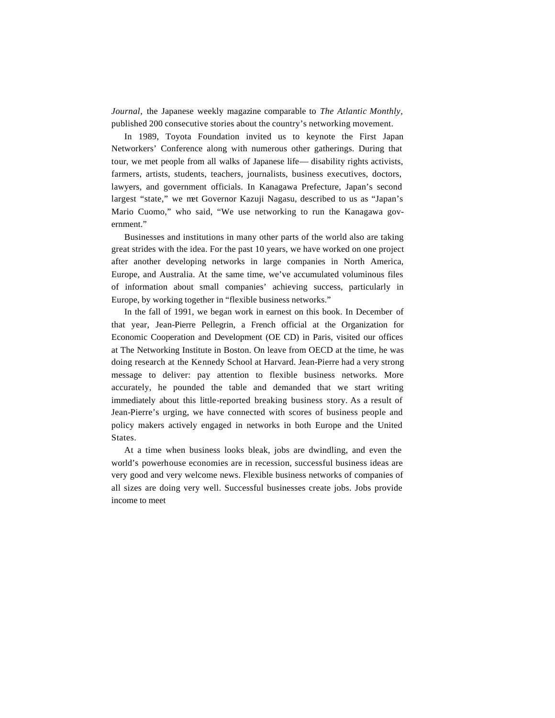*Journal,* the Japanese weekly magazine comparable to *The Atlantic Monthly,*  published 200 consecutive stories about the country's networking movement.

In 1989, Toyota Foundation invited us to keynote the First Japan Networkers' Conference along with numerous other gatherings. During that tour, we met people from all walks of Japanese life— disability rights activists, farmers, artists, students, teachers, journalists, business executives, doctors, lawyers, and government officials. In Kanagawa Prefecture, Japan's second largest "state," we met Governor Kazuji Nagasu, described to us as "Japan's Mario Cuomo," who said, "We use networking to run the Kanagawa government."

Businesses and institutions in many other parts of the world also are taking great strides with the idea. For the past 10 years, we have worked on one project after another developing networks in large companies in North America, Europe, and Australia. At the same time, we've accumulated voluminous files of information about small companies' achieving success, particularly in Europe, by working together in "flexible business networks."

In the fall of 1991, we began work in earnest on this book. In December of that year, Jean-Pierre Pellegrin, a French official at the Organization for Economic Cooperation and Development (OE CD) in Paris, visited our offices at The Networking Institute in Boston. On leave from OECD at the time, he was doing research at the Kennedy School at Harvard. Jean-Pierre had a very strong message to deliver: pay attention to flexible business networks. More accurately, he pounded the table and demanded that we start writing immediately about this little-reported breaking business story. As a result of Jean-Pierre's urging, we have connected with scores of business people and policy makers actively engaged in networks in both Europe and the United States.

At a time when business looks bleak, jobs are dwindling, and even the world's powerhouse economies are in recession, successful business ideas are very good and very welcome news. Flexible business networks of companies of all sizes are doing very well. Successful businesses create jobs. Jobs provide income to meet